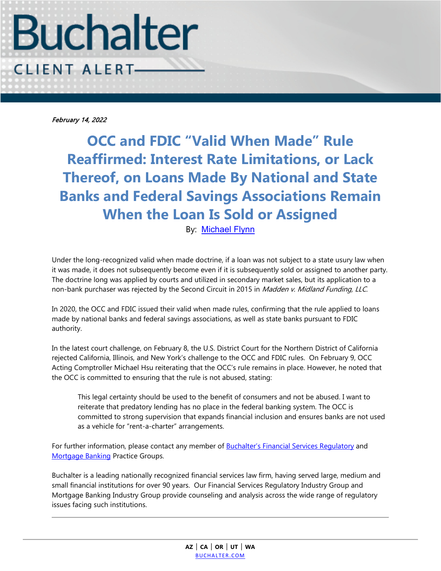

February 14, 2022

**OCC and FDIC "Valid When Made" Rule Reaffirmed: Interest Rate Limitations, or Lack Thereof, on Loans Made By National and State Banks and Federal Savings Associations Remain When the Loan Is Sold or Assigned**

By: [Michael Flynn](https://www.buchalter.com/attorneys/michael-c-flynn/#bio)

Under the long-recognized valid when made doctrine, if a loan was not subject to a state usury law when it was made, it does not subsequently become even if it is subsequently sold or assigned to another party. The doctrine long was applied by courts and utilized in secondary market sales, but its application to a non-bank purchaser was rejected by the Second Circuit in 2015 in Madden v. Midland Funding, LLC.

In 2020, the OCC and FDIC issued their valid when made rules, confirming that the rule applied to loans made by national banks and federal savings associations, as well as state banks pursuant to FDIC authority.

In the latest court challenge, on February 8, the U.S. District Court for the Northern District of California rejected California, Illinois, and New York's challenge to the OCC and FDIC rules. On February 9, OCC Acting Comptroller Michael Hsu reiterating that the OCC's rule remains in place. However, he noted that the OCC is committed to ensuring that the rule is not abused, stating:

This legal certainty should be used to the benefit of consumers and not be abused. I want to reiterate that predatory lending has no place in the federal banking system. The OCC is committed to strong supervision that expands financial inclusion and ensures banks are not used as a vehicle for "rent-a-charter" arrangements.

For further information, please contact any member of **Buchalter's Financial Services Regulatory** and [Mortgage Banking](https://www.buchalter.com/industry-specialty/mortgage-banking/#overview) Practice Groups.

Buchalter is a leading nationally recognized financial services law firm, having served large, medium and small financial institutions for over 90 years. Our Financial Services Regulatory Industry Group and Mortgage Banking Industry Group provide counseling and analysis across the wide range of regulatory issues facing such institutions.